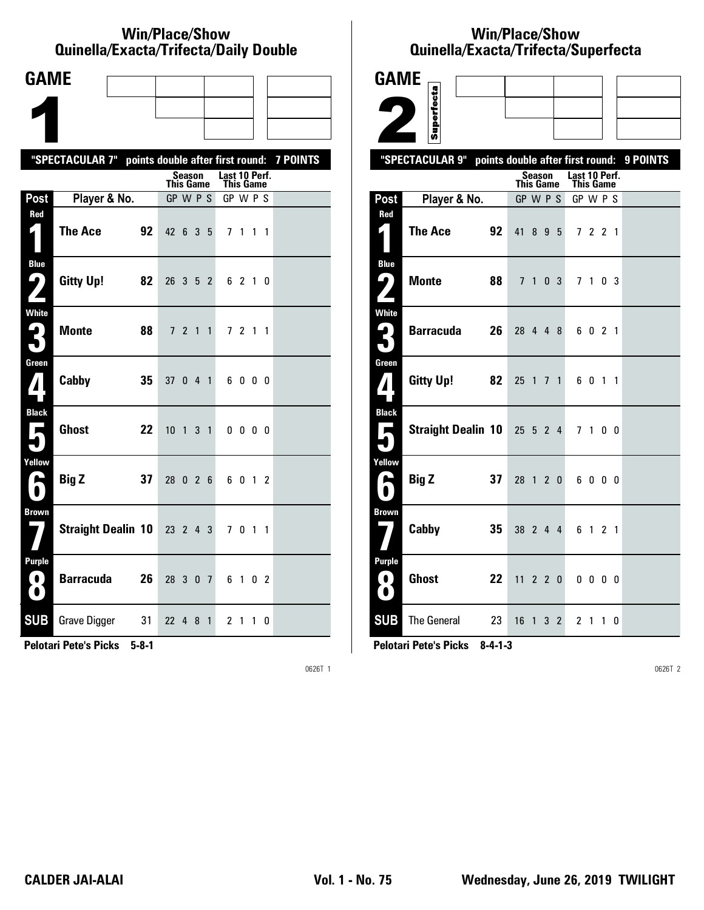#### **Win/Place/Show Qui nel la/Exacta/Tri fecta/Daily Dou ble**

| <b>GAME</b>                    |                                                           |    |                  |         |              |                            |              |           |  |
|--------------------------------|-----------------------------------------------------------|----|------------------|---------|--------------|----------------------------|--------------|-----------|--|
|                                |                                                           |    |                  |         |              |                            |              |           |  |
|                                |                                                           |    |                  |         |              |                            |              |           |  |
|                                | "SPECTACULAR 7" points double after first round: 7 POINTS |    |                  |         |              |                            |              |           |  |
|                                |                                                           |    | <b>This Game</b> | Season  |              | Last 10 Perf.<br>This Game |              |           |  |
| Post                           | Player & No.                                              |    | GP W P S         |         |              | GP W P S                   |              |           |  |
| Red<br>1                       | <b>The Ace</b>                                            | 92 | 42 6 3 5         |         |              |                            | 7 1 1 1      |           |  |
| <b>Blue</b><br>7               | <b>Gitty Up!</b>                                          | 82 | 26 3 5 2         |         |              |                            | 6 2 1 0      |           |  |
| <b>White</b><br>3              | <b>Monte</b>                                              | 88 |                  | 7 2 1 1 |              |                            | 7 2 1 1      |           |  |
| Green<br>$\boldsymbol{I}$      | Cabby                                                     | 35 | 37 0 4 1         |         |              |                            | 6000         |           |  |
| <b>Black</b><br>$\blacksquare$ | <b>Ghost</b>                                              | 22 | $10 \t1 \t3 \t1$ |         |              |                            | $0\,0\,0\,0$ |           |  |
| Yellow<br>A                    | <b>Big Z</b>                                              | 37 | 28 0 2 6         |         |              |                            | 6 0 1 2      |           |  |
| <b>Brown</b>                   | <b>Straight Dealin 10</b>                                 |    | 23 2 4 3         |         |              |                            | 7 0 1 1      |           |  |
| <b>Purple</b><br>$\bf O$<br>0  | <b>Barracuda</b>                                          | 26 | 28 3 0 7         |         |              |                            | 6 1 0 2      |           |  |
| <b>SUB</b>                     | <b>Grave Digger</b>                                       | 31 | 22 4 8           |         | $\mathbf{1}$ |                            | 21           | $1\quad0$ |  |

**Pelotari Pete's Picks 5-8-1**

0626T 1

# **Win/Place/Show Qui nel la/Exacta/Tri fecta/Super fecta**

| <b>GAME</b>                            |                             |    |                                  |         |    |     |                       |              |                |          |
|----------------------------------------|-----------------------------|----|----------------------------------|---------|----|-----|-----------------------|--------------|----------------|----------|
|                                        | Superfecta                  |    |                                  |         |    |     |                       |              |                |          |
|                                        |                             |    |                                  |         |    |     |                       |              |                |          |
|                                        | "SPECTACULAR 9"             |    |                                  |         |    |     |                       |              |                | 9 POINTS |
|                                        |                             |    | points double after first round: | Season  |    |     | Last 10 Perf.         |              |                |          |
| Post                                   | Player & No.                |    | <b>This Game</b><br>GP W P S     |         |    |     | This Game<br>GP W P S |              |                |          |
| Red                                    |                             |    |                                  |         |    |     |                       |              |                |          |
| 1                                      | <b>The Ace</b>              | 92 | 41                               |         | 89 | - 5 |                       | 7 2 2 1      |                |          |
| <b>Blue</b><br>9.                      | <b>Monte</b>                | 88 |                                  | 7 1 0 3 |    |     |                       | 7 1 0 3      |                |          |
|                                        |                             |    |                                  |         |    |     |                       |              |                |          |
| <b>White</b><br>$\mathbf{L}_\parallel$ | <b>Barracuda</b>            | 26 | 28 4 4 8                         |         |    |     |                       | 6 0 2 1      |                |          |
|                                        |                             |    |                                  |         |    |     |                       |              |                |          |
| Green                                  | <b>Gitty Up!</b>            | 82 | 25 1 7 1                         |         |    |     |                       |              |                |          |
| ${\bf Z}$                              |                             |    |                                  |         |    |     |                       | 6 0 1 1      |                |          |
| <b>Black</b>                           |                             |    |                                  |         |    |     |                       |              |                |          |
| Е                                      | Straight Dealin 10 25 5 2 4 |    |                                  |         |    |     | 7 <sub>1</sub>        |              | 0 <sub>0</sub> |          |
| Yellow                                 |                             |    |                                  |         |    |     |                       |              |                |          |
| А                                      | <b>Big Z</b>                | 37 | 28 1 2 0                         |         |    |     |                       | 6000         |                |          |
| <b>Brown</b>                           |                             |    |                                  |         |    |     |                       |              |                |          |
|                                        | Cabby                       | 35 | 38 2 4 4                         |         |    |     |                       | 6 1 2 1      |                |          |
| <b>Purple</b>                          |                             |    |                                  |         |    |     |                       |              |                |          |
| 0<br>$\bullet$                         | <b>Ghost</b>                | 22 | 11                               |         |    | 220 |                       | $0\,0\,0\,0$ |                |          |
| <b>SUB</b>                             | The General                 | 23 | 16 1 3 2                         |         |    |     |                       | 2 1 1 0      |                |          |

**Pelotari Pete's Picks 8-4-1-3**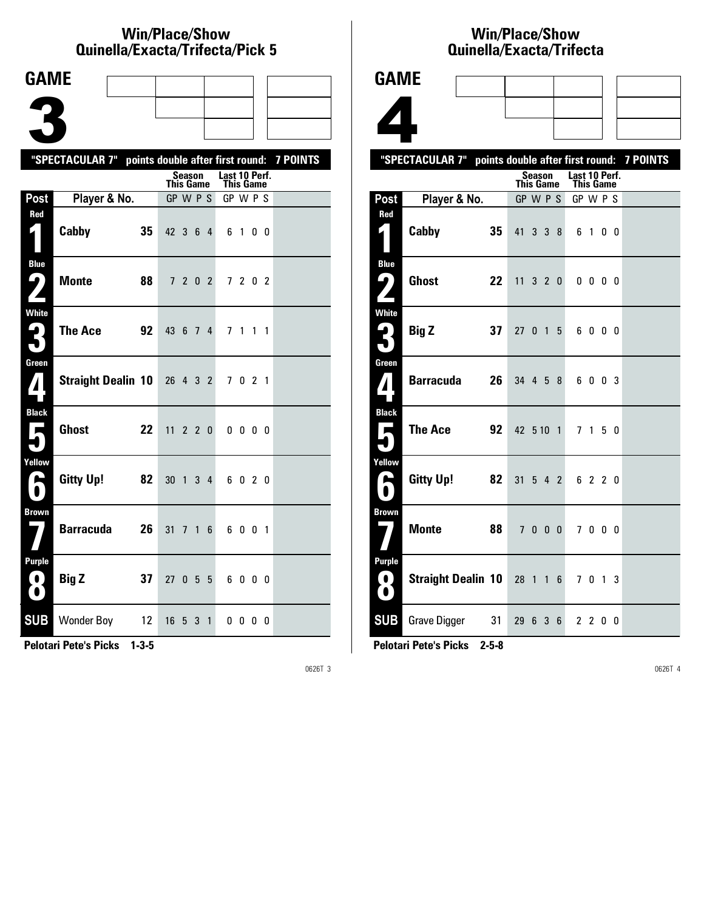#### **Win/Place/Show Qui nel la/Exacta/Tri fecta/Pick 5**

| <b>GAME</b> |                                                                                                 |                                                                   |                                 |                            |                   |                                                                                                                                                            |   |    |                                                                                                                                                                                                          |
|-------------|-------------------------------------------------------------------------------------------------|-------------------------------------------------------------------|---------------------------------|----------------------------|-------------------|------------------------------------------------------------------------------------------------------------------------------------------------------------|---|----|----------------------------------------------------------------------------------------------------------------------------------------------------------------------------------------------------------|
|             |                                                                                                 |                                                                   |                                 |                            |                   |                                                                                                                                                            |   |    |                                                                                                                                                                                                          |
|             |                                                                                                 |                                                                   |                                 |                            |                   |                                                                                                                                                            |   |    |                                                                                                                                                                                                          |
|             |                                                                                                 |                                                                   |                                 |                            |                   |                                                                                                                                                            |   |    |                                                                                                                                                                                                          |
|             |                                                                                                 |                                                                   |                                 |                            |                   |                                                                                                                                                            |   |    |                                                                                                                                                                                                          |
|             |                                                                                                 |                                                                   |                                 |                            |                   |                                                                                                                                                            |   |    |                                                                                                                                                                                                          |
|             |                                                                                                 |                                                                   |                                 |                            |                   |                                                                                                                                                            |   |    |                                                                                                                                                                                                          |
| Cabby       | 35                                                                                              |                                                                   |                                 |                            |                   |                                                                                                                                                            |   |    |                                                                                                                                                                                                          |
|             |                                                                                                 |                                                                   |                                 |                            |                   |                                                                                                                                                            |   |    |                                                                                                                                                                                                          |
|             |                                                                                                 |                                                                   |                                 |                            |                   |                                                                                                                                                            |   |    |                                                                                                                                                                                                          |
|             |                                                                                                 |                                                                   |                                 |                            |                   |                                                                                                                                                            |   |    |                                                                                                                                                                                                          |
|             |                                                                                                 |                                                                   |                                 |                            |                   |                                                                                                                                                            |   |    |                                                                                                                                                                                                          |
|             |                                                                                                 |                                                                   |                                 |                            |                   |                                                                                                                                                            |   |    |                                                                                                                                                                                                          |
|             |                                                                                                 |                                                                   |                                 |                            |                   |                                                                                                                                                            |   |    |                                                                                                                                                                                                          |
|             |                                                                                                 |                                                                   |                                 |                            |                   |                                                                                                                                                            |   |    |                                                                                                                                                                                                          |
|             |                                                                                                 |                                                                   |                                 |                            |                   |                                                                                                                                                            |   |    |                                                                                                                                                                                                          |
|             |                                                                                                 |                                                                   |                                 |                            |                   |                                                                                                                                                            |   |    |                                                                                                                                                                                                          |
|             |                                                                                                 |                                                                   |                                 |                            |                   |                                                                                                                                                            |   |    |                                                                                                                                                                                                          |
|             |                                                                                                 |                                                                   |                                 |                            |                   |                                                                                                                                                            |   |    |                                                                                                                                                                                                          |
|             |                                                                                                 |                                                                   |                                 |                            |                   |                                                                                                                                                            |   |    |                                                                                                                                                                                                          |
|             |                                                                                                 |                                                                   |                                 |                            |                   |                                                                                                                                                            |   |    |                                                                                                                                                                                                          |
|             |                                                                                                 |                                                                   |                                 |                            |                   |                                                                                                                                                            |   |    |                                                                                                                                                                                                          |
|             |                                                                                                 |                                                                   |                                 | 3                          | $\mathbf{1}$      |                                                                                                                                                            |   |    |                                                                                                                                                                                                          |
|             | <b>Monte</b><br><b>The Ace</b><br><b>Ghost</b><br>Gitty Up!<br><b>Barracuda</b><br><b>Big Z</b> | Player & No.<br>88<br>92<br>22<br>82<br>26<br>37<br>Wonder Boy 12 | <b>Straight Dealin 10</b><br>31 | 7<br>27 <sub>0</sub><br>16 | $30 \quad 1$<br>5 | <b>Season</b><br><b>This Game</b><br>GP W P S<br>42 3 6 4<br>7 2 0 2<br>43 6 7 4<br>26 4 3 2<br>$11 \t2 \t2 \t0$<br>$3\quad 4$<br>6<br>$\mathbf{1}$<br>5 5 | 6 | 71 | "SPECTACULAR 7" points double after first round: 7 POINTS<br>Last 10 Perf.<br>This Game<br>GP W P S<br>6 1 0 0<br>7 2 0 2<br>$1\quad1$<br>7 0 2 1<br>$0\,0\,0\,0$<br>020<br>6001<br>6000<br>$0\,0\,0\,0$ |

**Pelotari Pete's Picks 1-3-5**

0626T 3

### **Win/Place/Show Qui nel la/Exacta/Tri fecta**



|                                          | "SPECTACULAR 7" points double after first round: 7 POINTS |    |                  |        |             |                                   |              |  |  |
|------------------------------------------|-----------------------------------------------------------|----|------------------|--------|-------------|-----------------------------------|--------------|--|--|
|                                          |                                                           |    | <b>This Game</b> | Season |             | Last 10 Perf.<br><b>This Game</b> |              |  |  |
| Post                                     | Player & No.                                              |    | GP W P S         |        |             | GP W P S                          |              |  |  |
| Red                                      |                                                           |    |                  |        |             |                                   |              |  |  |
| ◘ ا                                      | Cabby                                                     | 35 | 41               |        | $3 \t3 \t8$ |                                   | 6 1 0 0      |  |  |
| <b>Blue</b><br>ر ما                      | <b>Ghost</b>                                              | 22 | $11$ 3 2 0       |        |             |                                   | $0\ 0\ 0\ 0$ |  |  |
| <b>White</b><br>3                        | <b>Big Z</b>                                              | 37 | 27 0 1 5         |        |             |                                   | 6000         |  |  |
| Green<br>$\mathbf{Z}$                    | <b>Barracuda</b>                                          | 26 | 34 4 5 8         |        |             |                                   | 6 0 0 3      |  |  |
| <b>Black</b><br>$\blacksquare$           | The Ace                                                   | 92 | 42 5 10 1        |        |             |                                   | 7 1 5 0      |  |  |
| Yellow<br>A<br>$\bullet$                 | <b>Gitty Up!</b>                                          | 82 | $31 \t5 \t4 \t2$ |        |             |                                   | 6 2 2 0      |  |  |
| <b>Brown</b>                             | Monte                                                     | 88 |                  | 7000   |             |                                   | 7000         |  |  |
| Purple<br>$\left( 0\right)$<br>$\bullet$ | Straight Dealin 10 28 1 1 6                               |    |                  |        |             |                                   | 7 0 1 3      |  |  |
| <b>SUB</b>                               | Grave Digger 31                                           |    | 29 6 3 6         |        |             |                                   | 2200         |  |  |

**Pelotari Pete's Picks 2-5-8**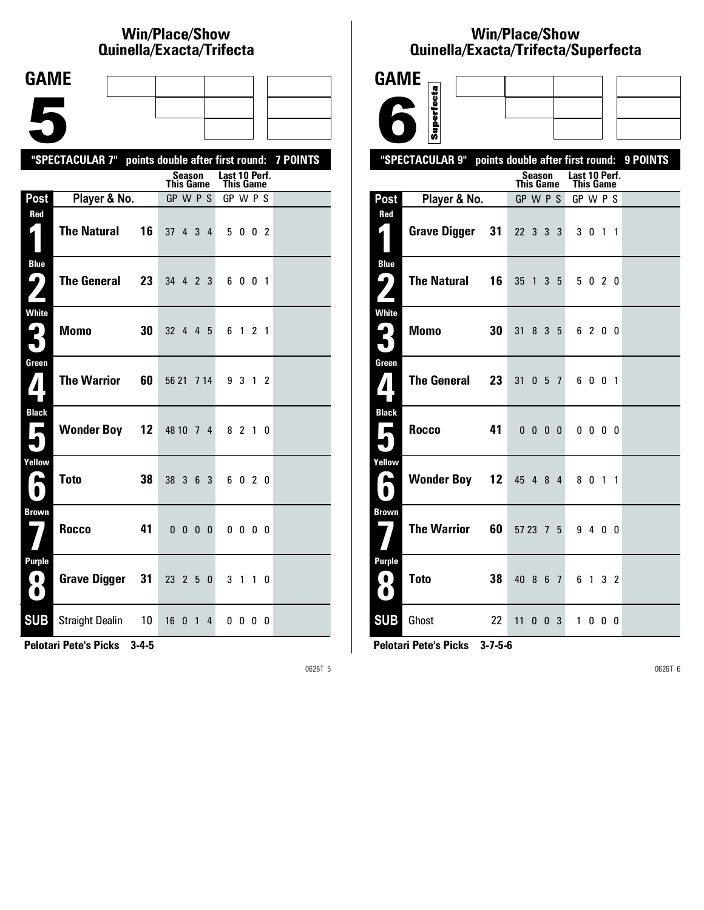# **Win/Place/Show Qui nel la/Exacta/Tri fecta**

| <b>GAME</b>                              |                                                  |                                |                            |                 |
|------------------------------------------|--------------------------------------------------|--------------------------------|----------------------------|-----------------|
|                                          |                                                  |                                |                            |                 |
|                                          |                                                  |                                |                            |                 |
|                                          | "SPECTACULAR 7" points double after first round: |                                |                            | <b>7 POINTS</b> |
|                                          |                                                  | Season<br>This Game            | Last 10 Perf.<br>This Game |                 |
| Post                                     | Player & No.                                     | GP W P S                       | GP W P S                   |                 |
| Red                                      | <b>The Natural</b><br>16                         | 37 4 3<br>$\overline{4}$       | 5 0 0 2                    |                 |
| <b>Blue</b><br>9<br>Z                    | <b>The General</b><br>23                         | 34 4 2 3                       | 6001                       |                 |
| <b>White</b><br>3                        | <b>Momo</b><br>30                                | 32 4 4 5                       | 6 1 2 1                    |                 |
| Green<br>$\mathbf{Z}$                    | <b>The Warrior</b><br>60                         | 56 21 7 14                     | 9 3 1 2                    |                 |
| <b>Black</b><br>$\overline{\phantom{a}}$ | <b>Wonder Boy 12</b>                             | 48 10 7 4                      | 8 2 1 0                    |                 |
| Yellow<br>$\blacktriangleright$          | <b>Toto</b><br>38                                | 38 3 6 3                       | 6 0 2 0                    |                 |
| <b>Brown</b>                             | <b>Rocco</b><br>41                               | $0\; 0\; 0\; 0$                | $0\,0\,0\,0$               |                 |
| <b>Purple</b><br>$\mathbf{O}$<br>O       | <b>Grave Digger</b><br>31                        | 23 2 5 0                       | 3 1 1 0                    |                 |
| <b>SUB</b>                               | <b>Straight Dealin</b><br>10                     | 16<br>0<br>$\overline{1}$<br>4 | 0000                       |                 |

**Pelotari Pete's Picks 3-4-5**

0626T 5

# **Win/Place/Show Qui nel la/Exacta/Tri fecta/Super fecta**

| GAME                                             |                                                           |                               |                                   |                |  |
|--------------------------------------------------|-----------------------------------------------------------|-------------------------------|-----------------------------------|----------------|--|
|                                                  | Superfecta                                                |                               |                                   |                |  |
|                                                  |                                                           |                               |                                   |                |  |
|                                                  | "SPECTACULAR 9" points double after first round: 9 POINTS |                               |                                   |                |  |
|                                                  |                                                           | Season<br><b>This Game</b>    | Last 10 Perf.<br><b>This Game</b> |                |  |
| Post                                             | Player & No.                                              | GP W P S                      | GP W P S                          |                |  |
| Red<br>4                                         | <b>Grave Digger</b><br>31                                 | 22 3 3 3                      | 3 0 1 1                           |                |  |
| <b>Blue</b><br>ر ما                              | <b>The Natural</b><br>16                                  | 35 1 3 5                      | 5 0 2 0                           |                |  |
| <b>White</b><br>ِ ها                             | <b>Momo</b><br>30                                         | 31<br>8 3 5                   | 6 2 0 0                           |                |  |
| Green<br>$\boldsymbol{I}$                        | <b>The General</b><br>23                                  | 31<br>057                     | 6001                              |                |  |
| <b>Black</b><br>$\overline{\phantom{a}}$<br>٠    | Rocco<br>41                                               | $0\quad 0\quad 0\quad 0\quad$ | $0\quad 0\quad 0\quad 0$          |                |  |
| Yellow<br>А                                      | <b>Wonder Boy 12</b>                                      | 45 4 8 4                      | 8 0 1 1                           |                |  |
| <b>Brown</b>                                     | <b>The Warrior</b><br>60                                  | $5723 \t 75$                  | 9 4 0 0                           |                |  |
| <b>Purple</b><br>$\left( 0 \right)$<br>$\bullet$ | <b>Toto</b><br>38                                         | 40 8 6 7                      | 61                                | 3 <sub>2</sub> |  |
| <b>SUB</b>                                       | Ghost<br>22                                               | $11 \t0 \t0 \t3$              | 1000                              |                |  |

**Pelotari Pete's Picks 3-7-5-6**